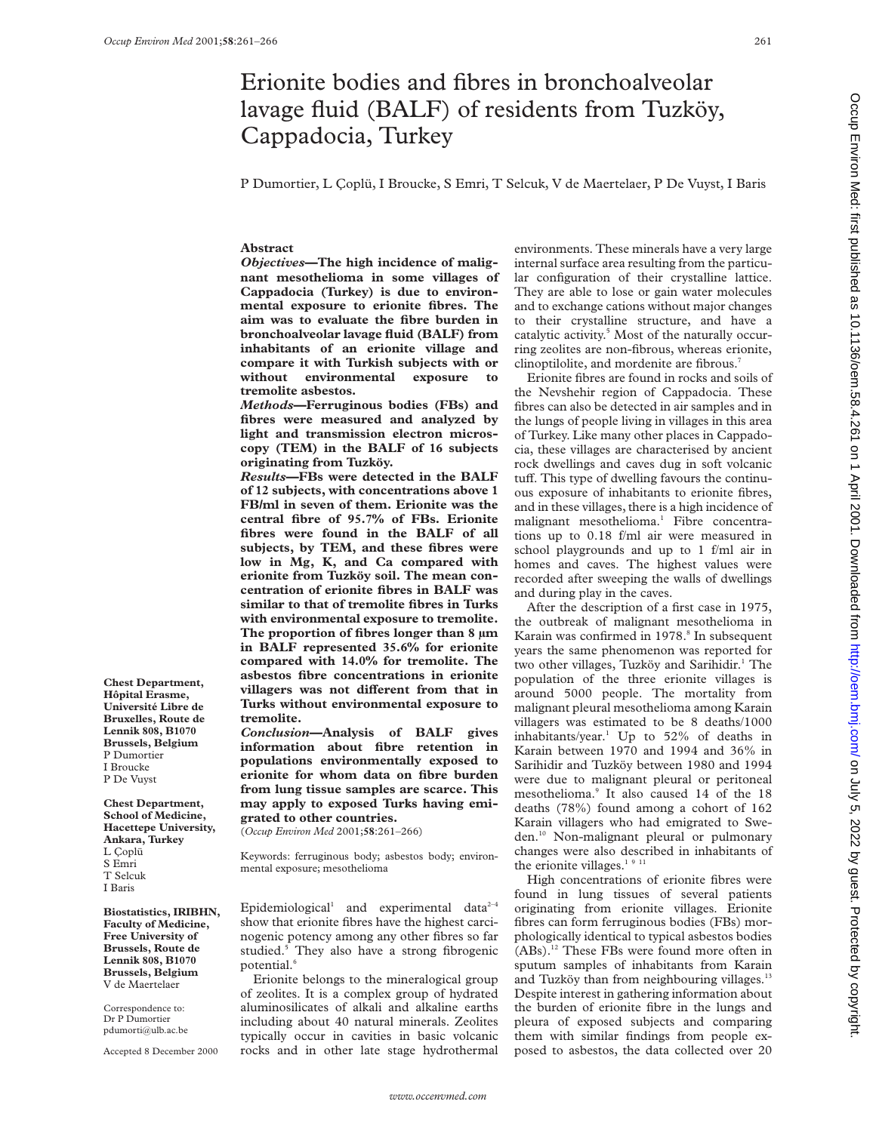## Erionite bodies and fibres in bronchoalveolar lavage fluid (BALF) of residents from Tuzköy, Cappadocia, Turkey

P Dumortier, L Çoplü, I Broucke, S Emri, T Selcuk, V de Maertelaer, P De Vuyst, I Baris

#### **Abstract**

*Objectives***—The high incidence of malignant mesothelioma in some villages of Cappadocia (Turkey) is due to environmental exposure to erionite fibres. The aim was to evaluate the fibre burden in bronchoalveolar lavage fluid (BALF) from inhabitants of an erionite village and compare it with Turkish subjects with or without environmental exposure to tremolite asbestos.**

*Methods***—Ferruginous bodies (FBs) and fibres were measured and analyzed by light and transmission electron microscopy (TEM) in the BALF of 16 subjects originating from Tuzköy.**

*Results***—FBs were detected in the BALF of 12 subjects, with concentrations above 1 FB/ml in seven of them. Erionite was the central fibre of 95.7% of FBs. Erionite fibres were found in the BALF of all subjects, by TEM, and these fibres were low in Mg, K, and Ca compared with erionite from Tuzköy soil. The mean concentration of erionite fibres in BALF was similar to that of tremolite fibres in Turks with environmental exposure to tremolite. The proportion of fibres longer than 8 µm in BALF represented 35.6% for erionite compared with 14.0% for tremolite. The asbestos fibre concentrations in erionite** villagers was not different from that in **Turks without environmental exposure to tremolite.**

*Conclusion***—Analysis of BALF gives information about fibre retention in populations environmentally exposed to erionite for whom data on fibre burden from lung tissue samples are scarce. This may apply to exposed Turks having emigrated to other countries.**

(*Occup Environ Med* 2001;**58**:261–266)

Keywords: ferruginous body; asbestos body; environmental exposure; mesothelioma

Epidemiological<sup>1</sup> and experimental data<sup>2-4</sup> show that erionite fibres have the highest carcinogenic potency among any other fibres so far studied.<sup>5</sup> They also have a strong fibrogenic potential.

Erionite belongs to the mineralogical group of zeolites. It is a complex group of hydrated aluminosilicates of alkali and alkaline earths including about 40 natural minerals. Zeolites typically occur in cavities in basic volcanic rocks and in other late stage hydrothermal

environments. These minerals have a very large internal surface area resulting from the particular configuration of their crystalline lattice. They are able to lose or gain water molecules and to exchange cations without major changes to their crystalline structure, and have a catalytic activity.<sup>5</sup> Most of the naturally occurring zeolites are non-fibrous, whereas erionite, clinoptilolite, and mordenite are fibrous.<sup>7</sup>

Erionite fibres are found in rocks and soils of the Nevshehir region of Cappadocia. These fibres can also be detected in air samples and in the lungs of people living in villages in this area of Turkey. Like many other places in Cappadocia, these villages are characterised by ancient rock dwellings and caves dug in soft volcanic tuff. This type of dwelling favours the continuous exposure of inhabitants to erionite fibres, and in these villages, there is a high incidence of malignant mesothelioma.<sup>1</sup> Fibre concentrations up to 0.18 f/ml air were measured in school playgrounds and up to 1 f/ml air in homes and caves. The highest values were recorded after sweeping the walls of dwellings and during play in the caves.

After the description of a first case in 1975, the outbreak of malignant mesothelioma in Karain was confirmed in 1978.<sup>8</sup> In subsequent years the same phenomenon was reported for two other villages, Tuzköy and Sarihidir.<sup>1</sup> The population of the three erionite villages is around 5000 people. The mortality from malignant pleural mesothelioma among Karain villagers was estimated to be 8 deaths/1000 inhabitants/year.<sup>1</sup> Up to  $52\%$  of deaths in Karain between 1970 and 1994 and 36% in Sarihidir and Tuzköy between 1980 and 1994 were due to malignant pleural or peritoneal mesothelioma.<sup>9</sup> It also caused 14 of the 18 deaths (78%) found among a cohort of 162 Karain villagers who had emigrated to Sweden.10 Non-malignant pleural or pulmonary changes were also described in inhabitants of the erionite villages.<sup>1911</sup>

High concentrations of erionite fibres were found in lung tissues of several patients originating from erionite villages. Erionite fibres can form ferruginous bodies (FBs) morphologically identical to typical asbestos bodies (ABs).12 These FBs were found more often in sputum samples of inhabitants from Karain and Tuzköy than from neighbouring villages.<sup>13</sup> Despite interest in gathering information about the burden of erionite fibre in the lungs and pleura of exposed subjects and comparing them with similar findings from people exposed to asbestos, the data collected over 20

**Chest Department, Hôpital Erasme, Université Libre de Bruxelles, Route de Lennik 808, B1070 Brussels, Belgium** P Dumortier I Broucke P De Vuyst

**Chest Department, School of Medicine, Hacettepe University, Ankara, Turkey** L Çoplü S Emri T Selcuk I Baris

**Biostatistics, IRIBHN, Faculty of Medicine, Free University of Brussels, Route de Lennik 808, B1070 Brussels, Belgium** V de Maertelaer

Correspondence to: Dr P Dumortier pdumorti@ulb.ac.be

Accepted 8 December 2000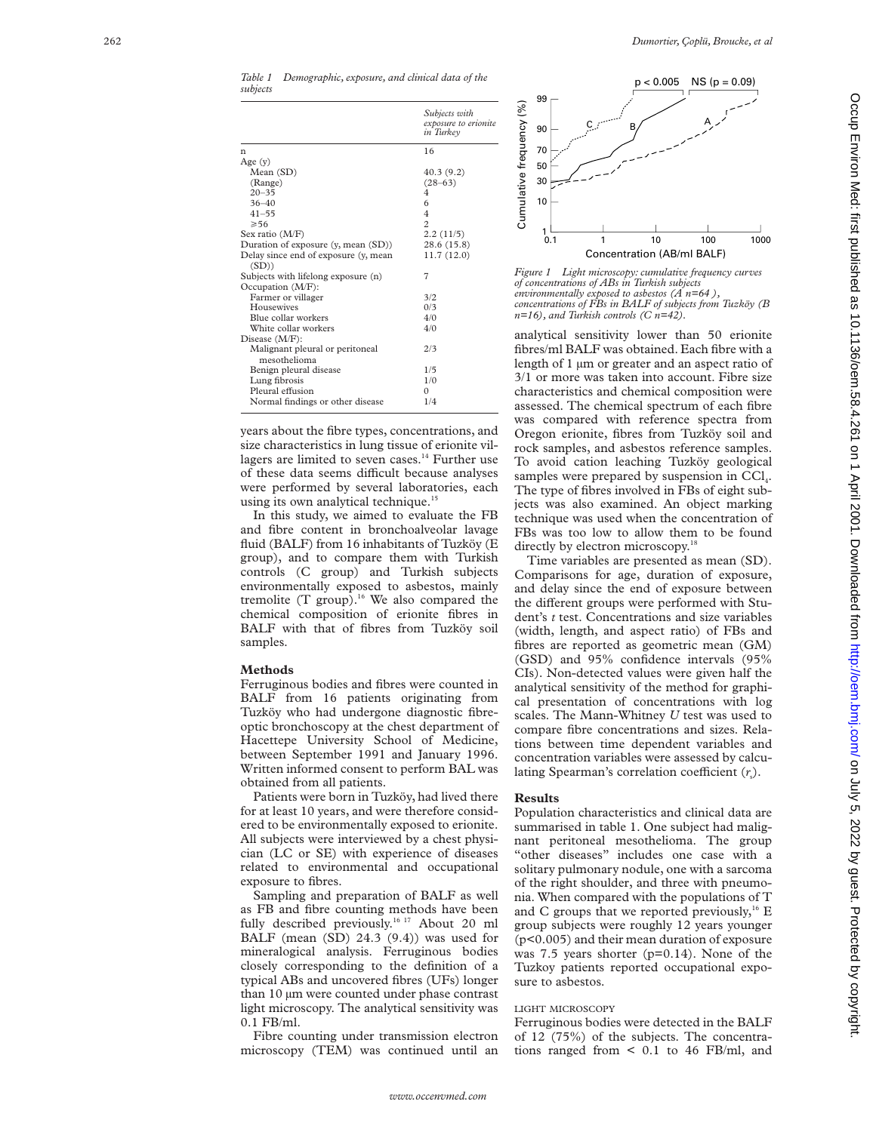*Table 1 Demographic, exposure, and clinical data of the subjects*

|                                      | Subjects with<br>exposure to erionite<br>in Turkey |
|--------------------------------------|----------------------------------------------------|
| n                                    | 16                                                 |
| Age $(y)$                            |                                                    |
| Mean (SD)                            | 40.3(9.2)                                          |
| (Range)                              | $(28-63)$                                          |
| $20 - 35$                            | 4                                                  |
| $36 - 40$                            | 6                                                  |
| $41 - 55$                            | $\overline{4}$                                     |
| $\geqslant 56$                       | $\overline{c}$                                     |
| Sex ratio (M/F)                      | 2.2(11/5)                                          |
| Duration of exposure (y, mean (SD))  | 28.6 (15.8)                                        |
| Delay since end of exposure (y, mean | 11.7(12.0)                                         |
| (SD))                                |                                                    |
| Subjects with lifelong exposure (n)  | 7                                                  |
| Occupation (M/F):                    |                                                    |
| Farmer or villager                   | 3/2                                                |
| Housewives                           | 0/3                                                |
| Blue collar workers                  | 4/0                                                |
| White collar workers                 | 4/0                                                |
| Disease (M/F):                       |                                                    |
| Malignant pleural or peritoneal      | 2/3                                                |
| mesothelioma                         |                                                    |
| Benign pleural disease               | 1/5                                                |
| Lung fibrosis                        | 1/0                                                |
| Pleural effusion                     | $\Omega$                                           |
| Normal findings or other disease     | 1/4                                                |

years about the fibre types, concentrations, and size characteristics in lung tissue of erionite villagers are limited to seven cases.<sup>14</sup> Further use of these data seems difficult because analyses were performed by several laboratories, each using its own analytical technique.<sup>15</sup>

In this study, we aimed to evaluate the FB and fibre content in bronchoalveolar lavage fluid (BALF) from 16 inhabitants of Tuzköy (E group), and to compare them with Turkish controls (C group) and Turkish subjects environmentally exposed to asbestos, mainly tremolite  $(T \text{ group})$ .<sup>16</sup> We also compared the chemical composition of erionite fibres in BALF with that of fibres from Tuzköy soil samples.

#### **Methods**

Ferruginous bodies and fibres were counted in BALF from 16 patients originating from Tuzköy who had undergone diagnostic fibreoptic bronchoscopy at the chest department of Hacettepe University School of Medicine, between September 1991 and January 1996. Written informed consent to perform BAL was obtained from all patients.

Patients were born in Tuzköy, had lived there for at least 10 years, and were therefore considered to be environmentally exposed to erionite. All subjects were interviewed by a chest physician (LC or SE) with experience of diseases related to environmental and occupational exposure to fibres.

Sampling and preparation of BALF as well as FB and fibre counting methods have been fully described previously.<sup>16 17</sup> About 20 ml BALF (mean (SD) 24.3 (9.4)) was used for mineralogical analysis. Ferruginous bodies closely corresponding to the definition of a typical ABs and uncovered fibres (UFs) longer than 10 µm were counted under phase contrast light microscopy. The analytical sensitivity was 0.1 FB/ml.

Fibre counting under transmission electron microscopy (TEM) was continued until an



*Figure 1 Light microscopy: cumulative frequency curves of concentrations of ABs in Turkish subjects environmentally exposed to asbestos (A n=64 ), concentrations of FBs in BALF of subjects from Tuzköy (B n=16), and Turkish controls (C n=42).*

analytical sensitivity lower than 50 erionite fibres/ml BALF was obtained. Each fibre with a length of 1 µm or greater and an aspect ratio of 3/1 or more was taken into account. Fibre size characteristics and chemical composition were assessed. The chemical spectrum of each fibre was compared with reference spectra from Oregon erionite, fibres from Tuzköy soil and rock samples, and asbestos reference samples. To avoid cation leaching Tuzköy geological samples were prepared by suspension in CCl<sub>4</sub>. The type of fibres involved in FBs of eight subjects was also examined. An object marking technique was used when the concentration of FBs was too low to allow them to be found directly by electron microscopy.<sup>18</sup>

Time variables are presented as mean (SD). Comparisons for age, duration of exposure, and delay since the end of exposure between the different groups were performed with Student's *t* test. Concentrations and size variables (width, length, and aspect ratio) of FBs and fibres are reported as geometric mean (GM) (GSD) and 95% confidence intervals (95% CIs). Non-detected values were given half the analytical sensitivity of the method for graphical presentation of concentrations with log scales. The Mann-Whitney *U* test was used to compare fibre concentrations and sizes. Relations between time dependent variables and concentration variables were assessed by calculating Spearman's correlation coefficient (r<sub>s</sub>).

#### **Results**

Population characteristics and clinical data are summarised in table 1. One subject had malignant peritoneal mesothelioma. The group "other diseases" includes one case with a solitary pulmonary nodule, one with a sarcoma of the right shoulder, and three with pneumonia. When compared with the populations of T and C groups that we reported previously, $16$  E group subjects were roughly 12 years younger (p<0.005) and their mean duration of exposure was 7.5 years shorter (p=0.14). None of the Tuzkoy patients reported occupational exposure to asbestos.

#### LIGHT MICROSCOPY

Ferruginous bodies were detected in the BALF of 12 (75%) of the subjects. The concentrations ranged from < 0.1 to 46 FB/ml, and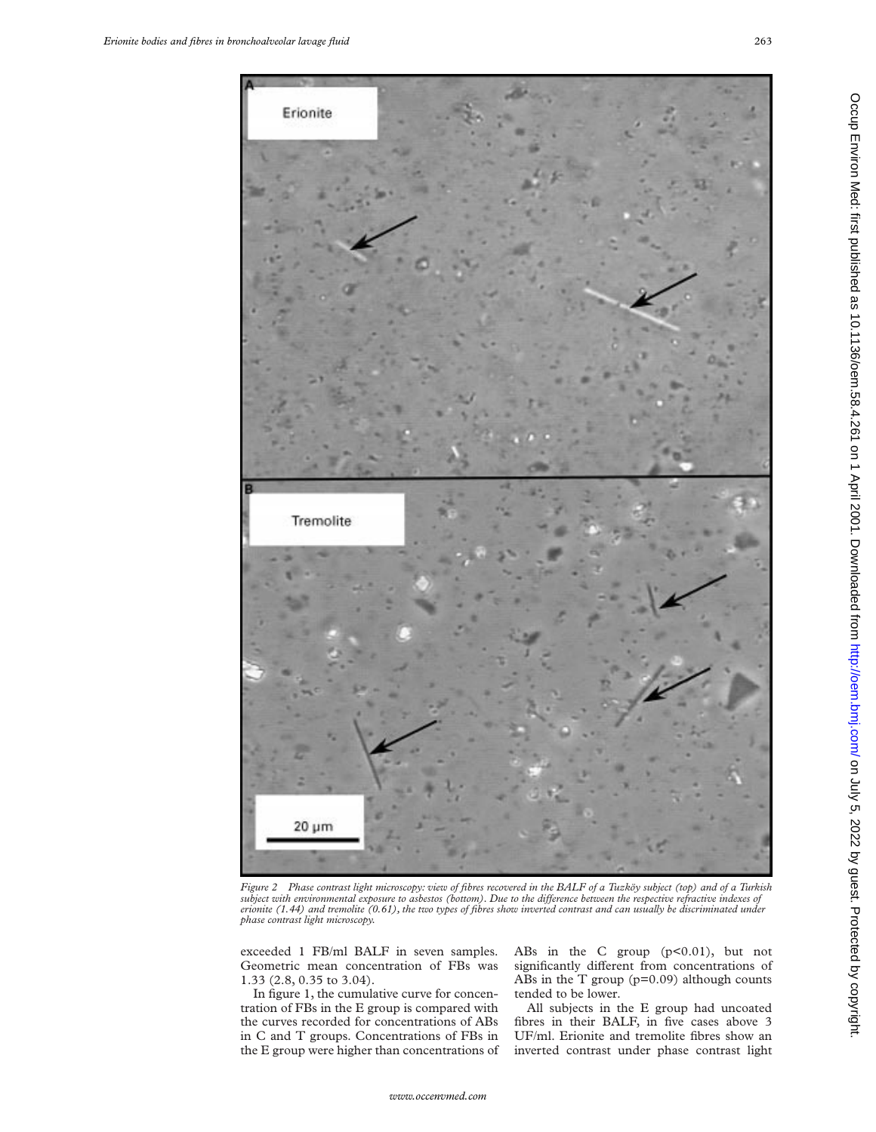

*Figure 2 Phase contrast light microscopy: view of fibres recovered in the BALF of a Tuzköy subject (top) and of a Turkish subject with environmental exposure to asbestos (bottom). Due to the diVerence between the respective refractive indexes of erionite (1.44) and tremolite (0.61), the two types of fibres show inverted contrast and can usually be discriminated under phase contrast light microscopy.*

exceeded 1 FB/ml BALF in seven samples. Geometric mean concentration of FBs was 1.33 (2.8, 0.35 to 3.04).

In figure 1, the cumulative curve for concentration of FBs in the E group is compared with the curves recorded for concentrations of ABs in C and T groups. Concentrations of FBs in the E group were higher than concentrations of ABs in the C group (p<0.01), but not significantly different from concentrations of ABs in the T group  $(p=0.09)$  although counts tended to be lower.

All subjects in the E group had uncoated fibres in their BALF, in five cases above 3 UF/ml. Erionite and tremolite fibres show an inverted contrast under phase contrast light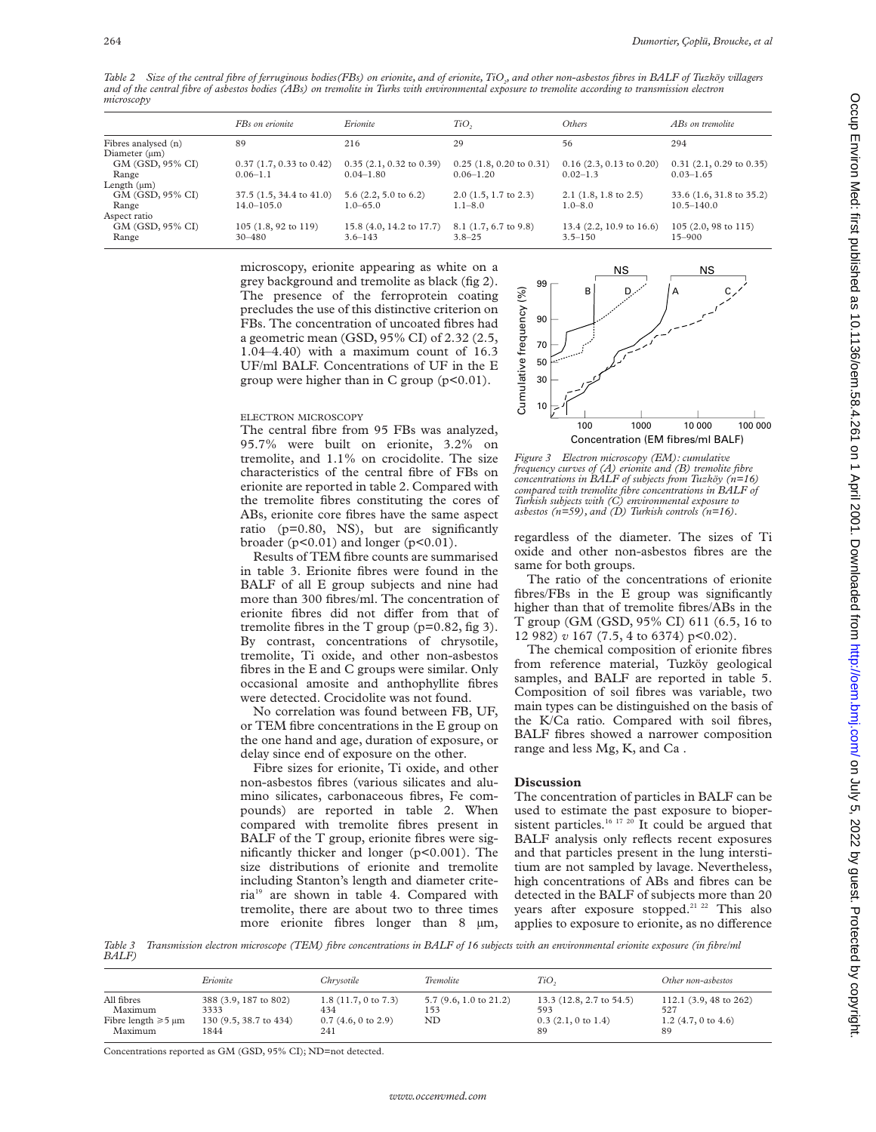Table 2 Size of the central fibre of ferruginous bodies(FBs) on erionite, and of erionite, TiO<sub>2</sub>, and other non-asbestos fibres in BALF of Tuzköy villagers *and of the central fibre of asbestos bodies (ABs) on tremolite in Turks with environmental exposure to tremolite according to transmission electron microscopy*

|                     | FBs on erionite                    | Erionite                           | TiO <sub>2</sub>                   | Others                              | ABs on tremolite               |
|---------------------|------------------------------------|------------------------------------|------------------------------------|-------------------------------------|--------------------------------|
| Fibres analysed (n) | 89                                 | 216                                | 29                                 | 56                                  | 294                            |
| Diameter $(\mu m)$  |                                    |                                    |                                    |                                     |                                |
| GM (GSD, 95% CI)    | $0.37$ (1.7, 0.33 to 0.42)         | $0.35(2.1, 0.32 \text{ to } 0.39)$ | $0.25(1.8, 0.20 \text{ to } 0.31)$ | $0.16$ (2.3, 0.13 to 0.20)          | $0.31(2.1, 0.29)$ to $0.35$ )  |
| Range               | $0.06 - 1.1$                       | $0.04 - 1.80$                      | $0.06 - 1.20$                      | $0.02 - 1.3$                        | $0.03 - 1.65$                  |
| Length $(\mu m)$    |                                    |                                    |                                    |                                     |                                |
| GM (GSD, 95% CI)    | $37.5(1.5, 34.4 \text{ to } 41.0)$ | $5.6$ $(2.2, 5.0 \text{ to } 6.2)$ | $2.0$ (1.5, 1.7 to 2.3)            | $2.1$ (1.8, 1.8 to 2.5)             | 33.6 (1.6, 31.8 to 35.2)       |
| Range               | $14.0 - 105.0$                     | $1.0 - 65.0$                       | $1.1 - 8.0$                        | $1.0 - 8.0$                         | $10.5 - 140.0$                 |
| Aspect ratio        |                                    |                                    |                                    |                                     |                                |
| GM (GSD, 95% CI)    | 105 (1.8, 92 to 119)               | 15.8 (4.0, 14.2 to 17.7)           | $8.1$ (1.7, 6.7 to 9.8)            | 13.4 $(2.2, 10.9 \text{ to } 16.6)$ | $105(2.0, 98 \text{ to } 115)$ |
| Range               | $30 - 480$                         | $3.6 - 143$                        | $3.8 - 25$                         | $3.5 - 150$                         | $15 - 900$                     |
|                     |                                    |                                    |                                    |                                     |                                |

microscopy, erionite appearing as white on a grey background and tremolite as black (fig 2). The presence of the ferroprotein coating precludes the use of this distinctive criterion on FBs. The concentration of uncoated fibres had a geometric mean (GSD, 95% CI) of 2.32 (2.5, 1.04–4.40) with a maximum count of 16.3 UF/ml BALF. Concentrations of UF in the E group were higher than in C group  $(p<0.01)$ .

#### ELECTRON MICROSCOPY

The central fibre from 95 FBs was analyzed, 95.7% were built on erionite, 3.2% on tremolite, and 1.1% on crocidolite. The size characteristics of the central fibre of FBs on erionite are reported in table 2. Compared with the tremolite fibres constituting the cores of ABs, erionite core fibres have the same aspect ratio (p=0.80, NS), but are significantly broader ( $p<0.01$ ) and longer ( $p<0.01$ ).

Results of TEM fibre counts are summarised in table 3. Erionite fibres were found in the BALF of all E group subjects and nine had more than 300 fibres/ml. The concentration of erionite fibres did not differ from that of tremolite fibres in the T group  $(p=0.82, fig 3)$ . By contrast, concentrations of chrysotile, tremolite, Ti oxide, and other non-asbestos fibres in the E and C groups were similar. Only occasional amosite and anthophyllite fibres were detected. Crocidolite was not found.

No correlation was found between FB, UF, or TEM fibre concentrations in the E group on the one hand and age, duration of exposure, or delay since end of exposure on the other.

Fibre sizes for erionite, Ti oxide, and other non-asbestos fibres (various silicates and alumino silicates, carbonaceous fibres, Fe compounds) are reported in table 2. When compared with tremolite fibres present in BALF of the T group, erionite fibres were significantly thicker and longer (p<0.001). The size distributions of erionite and tremolite including Stanton's length and diameter criteria19 are shown in table 4. Compared with tremolite, there are about two to three times more erionite fibres longer than 8  $\mu$ m,



*Figure 3 Electron microscopy (EM): cumulative frequency curves of (A) erionite and (B) tremolite fibre concentrations in BALF of subjects from Tuzköy (n=16) compared with tremolite fibre concentrations in BALF of Turkish subjects with (C) environmental exposure to asbestos (n=59), and (D) Turkish controls (n=16).*

regardless of the diameter. The sizes of Ti oxide and other non-asbestos fibres are the same for both groups.

The ratio of the concentrations of erionite fibres/FBs in the E group was significantly higher than that of tremolite fibres/ABs in the T group (GM (GSD, 95% CI) 611 (6.5, 16 to 12 982) *v* 167 (7.5, 4 to 6374) p<0.02).

The chemical composition of erionite fibres from reference material, Tuzköy geological samples, and BALF are reported in table 5. Composition of soil fibres was variable, two main types can be distinguished on the basis of the K/Ca ratio. Compared with soil fibres, BALF fibres showed a narrower composition range and less Mg, K, and Ca .

#### **Discussion**

The concentration of particles in BALF can be used to estimate the past exposure to biopersistent particles.<sup>16 17 20</sup> It could be argued that BALF analysis only reflects recent exposures and that particles present in the lung interstitium are not sampled by lavage. Nevertheless, high concentrations of ABs and fibres can be detected in the BALF of subjects more than 20 years after exposure stopped.<sup>21 22</sup> This also applies to exposure to erionite, as no difference

*Table 3 Transmission electron microscope (TEM) fibre concentrations in BALF of 16 subjects with an environmental erionite exposure (in fibre/ml BALF)*

|                                                                 | Erionite                                                        | Chrysotile                                                                    | Tremolite                                      | TiO,                                                               | Other non-asbestos                                                               |
|-----------------------------------------------------------------|-----------------------------------------------------------------|-------------------------------------------------------------------------------|------------------------------------------------|--------------------------------------------------------------------|----------------------------------------------------------------------------------|
| All fibres<br>Maximum<br>Fibre length $\geq 5 \mu m$<br>Maximum | 388 (3.9, 187 to 802)<br>3333<br>130 (9.5, 38.7 to 434)<br>1844 | $1.8(11.7, 0 \text{ to } 7.3)$<br>434<br>$0.7(4.6, 0 \text{ to } 2.9)$<br>241 | $5.7$ (9.6, 1.0 to 21.2)<br>153<br>$_{\rm ND}$ | 13.3 (12.8, 2.7 to 54.5)<br>593<br>$0.3$ $(2.1, 0$ to $1.4)$<br>89 | 112.1 $(3.9, 48 \text{ to } 262)$<br>527<br>1.2 $(4.7, 0 \text{ to } 4.6)$<br>89 |

Concentrations reported as GM (GSD, 95% CI); ND=not detected.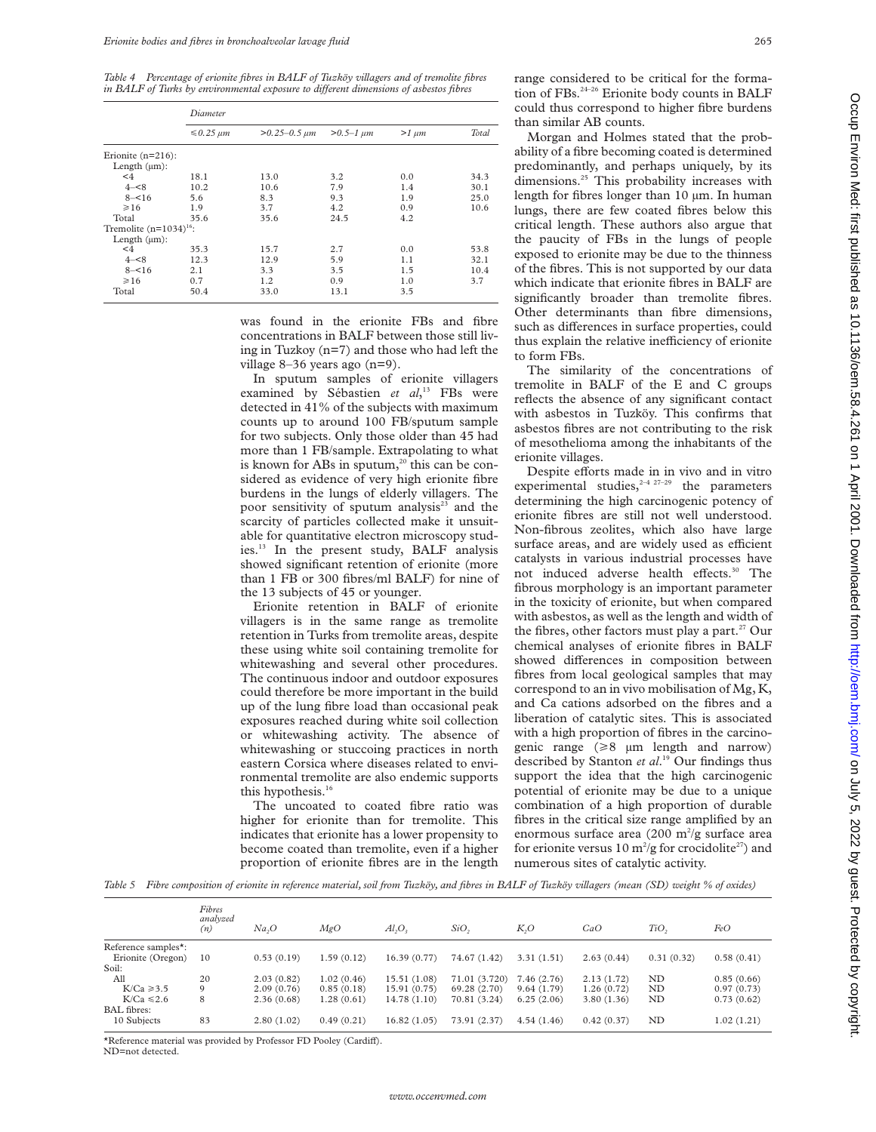*Table 4 Percentage of erionite fibres in BALF of Tuzköy villagers and of tremolite fibres in BALF of Turks by environmental exposure to different dimensions of asbestos fibres* 

|                             | Diameter            |                       |                   |            |       |  |  |
|-----------------------------|---------------------|-----------------------|-------------------|------------|-------|--|--|
|                             | $\leq 0.25 \ \mu m$ | $>0.25 - 0.5$ $\mu m$ | $> 0.5 - 1 \mu m$ | $>1 \mu m$ | Total |  |  |
| Erionite $(n=216)$ :        |                     |                       |                   |            |       |  |  |
| Length $(\mu m)$ :          |                     |                       |                   |            |       |  |  |
| $<$ 4                       | 18.1                | 13.0                  | 3.2               | 0.0        | 34.3  |  |  |
| $4 - < 8$                   | 10.2                | 10.6                  | 7.9               | 1.4        | 30.1  |  |  |
| $8 - 16$                    | 5.6                 | 8.3                   | 9.3               | 1.9        | 25.0  |  |  |
| $\geq 16$                   | 1.9                 | 3.7                   | 4.2               | 0.9        | 10.6  |  |  |
| Total                       | 35.6                | 35.6                  | 24.5              | 4.2        |       |  |  |
| Tremolite $(n=1034)^{16}$ : |                     |                       |                   |            |       |  |  |
| Length $(\mu m)$ :          |                     |                       |                   |            |       |  |  |
| $\leq 4$                    | 35.3                | 15.7                  | 2.7               | 0.0        | 53.8  |  |  |
| $4 - 8$                     | 12.3                | 12.9                  | 5.9               | 1.1        | 32.1  |  |  |
| $8 - 16$                    | 2.1                 | 3.3                   | 3.5               | 1.5        | 10.4  |  |  |
| $\geq 16$                   | 0.7                 | 1.2                   | 0.9               | 1.0        | 3.7   |  |  |
| Total                       | 50.4                | 33.0                  | 13.1              | 3.5        |       |  |  |

was found in the erionite FBs and fibre concentrations in BALF between those still living in Tuzkoy (n=7) and those who had left the village 8–36 years ago (n=9).

In sputum samples of erionite villagers examined by Sébastien et al,<sup>13</sup> FBs were detected in 41% of the subjects with maximum counts up to around 100 FB/sputum sample for two subjects. Only those older than 45 had more than 1 FB/sample. Extrapolating to what is known for ABs in sputum, $^{20}$  this can be considered as evidence of very high erionite fibre burdens in the lungs of elderly villagers. The poor sensitivity of sputum analysis $23$  and the scarcity of particles collected make it unsuitable for quantitative electron microscopy studies.13 In the present study, BALF analysis showed significant retention of erionite (more than 1 FB or 300 fibres/ml BALF) for nine of the 13 subjects of 45 or younger.

Erionite retention in BALF of erionite villagers is in the same range as tremolite retention in Turks from tremolite areas, despite these using white soil containing tremolite for whitewashing and several other procedures. The continuous indoor and outdoor exposures could therefore be more important in the build up of the lung fibre load than occasional peak exposures reached during white soil collection or whitewashing activity. The absence of whitewashing or stuccoing practices in north eastern Corsica where diseases related to environmental tremolite are also endemic supports this hypothesis.<sup>16</sup>

The uncoated to coated fibre ratio was higher for erionite than for tremolite. This indicates that erionite has a lower propensity to become coated than tremolite, even if a higher proportion of erionite fibres are in the length

range considered to be critical for the formation of FBs.<sup>24-26</sup> Erionite body counts in BALF could thus correspond to higher fibre burdens than similar AB counts.

Morgan and Holmes stated that the probability of a fibre becoming coated is determined predominantly, and perhaps uniquely, by its dimensions.<sup>25</sup> This probability increases with length for fibres longer than 10 µm. In human lungs, there are few coated fibres below this critical length. These authors also argue that the paucity of FBs in the lungs of people exposed to erionite may be due to the thinness of the fibres. This is not supported by our data which indicate that erionite fibres in BALF are significantly broader than tremolite fibres. Other determinants than fibre dimensions, such as differences in surface properties, could thus explain the relative inefficiency of erionite to form FBs.

The similarity of the concentrations of tremolite in BALF of the E and C groups reflects the absence of any significant contact with asbestos in Tuzköy. This confirms that asbestos fibres are not contributing to the risk of mesothelioma among the inhabitants of the erionite villages.

Despite efforts made in in vivo and in vitro experimental studies, $2-4$   $27-29$  the parameters determining the high carcinogenic potency of erionite fibres are still not well understood. Non-fibrous zeolites, which also have large surface areas, and are widely used as efficient catalysts in various industrial processes have not induced adverse health effects.<sup>30</sup> The fibrous morphology is an important parameter in the toxicity of erionite, but when compared with asbestos, as well as the length and width of the fibres, other factors must play a part.<sup>27</sup> Our chemical analyses of erionite fibres in BALF showed differences in composition between fibres from local geological samples that may correspond to an in vivo mobilisation of Mg, K, and Ca cations adsorbed on the fibres and a liberation of catalytic sites. This is associated with a high proportion of fibres in the carcinogenic range  $(\geq 8 \mu m \text{ length and narrow})$ described by Stanton *et al*. <sup>19</sup> Our findings thus support the idea that the high carcinogenic potential of erionite may be due to a unique combination of a high proportion of durable fibres in the critical size range amplified by an enormous surface area  $(200 \text{ m}^2/\text{g})$  surface area for erionite versus 10  $m^2/g$  for crocidolite<sup>27</sup>) and numerous sites of catalytic activity.

*Table 5 Fibre composition of erionite in reference material, soil from Tuzköy, and fibres in BALF of Tuzköy villagers (mean (SD) weight % of oxides)*

|                     | Fibres<br>analyzed<br>(n) | Na <sub>2</sub> O | MgO        | $Al_2O_3$    | SiO <sub>2</sub> | $K_2O$     | CaO        | TiO,       | FeO        |
|---------------------|---------------------------|-------------------|------------|--------------|------------------|------------|------------|------------|------------|
| Reference samples*: |                           |                   |            |              |                  |            |            |            |            |
| Erionite (Oregon)   | 10                        | 0.53(0.19)        | 1.59(0.12) | 16.39(0.77)  | 74.67 (1.42)     | 3.31(1.51) | 2.63(0.44) | 0.31(0.32) | 0.58(0.41) |
| Soil:               |                           |                   |            |              |                  |            |            |            |            |
| All                 | 20                        | 2.03(0.82)        | 1.02(0.46) | 15.51 (1.08) | 71.01 (3.720)    | 7.46(2.76) | 2.13(1.72) | ND         | 0.85(0.66) |
| $K/Ca \ge 3.5$      | 9                         | 2.09(0.76)        | 0.85(0.18) | 15.91(0.75)  | 69.28 (2.70)     | 9.64(1.79) | 1.26(0.72) | ND         | 0.97(0.73) |
| $K/Ca \le 2.6$      | 8                         | 2.36(0.68)        | 1.28(0.61) | 14.78(1.10)  | 70.81 (3.24)     | 6.25(2.06) | 3.80(1.36) | ND         | 0.73(0.62) |
| <b>BAL</b> fibres:  |                           |                   |            |              |                  |            |            |            |            |
| 10 Subjects         | 83                        | 2.80(1.02)        | 0.49(0.21) | 16.82(1.05)  | 73.91 (2.37)     | 4.54(1.46) | 0.42(0.37) | ND         | 1.02(1.21) |

\*Reference material was provided by Professor FD Pooley (Cardiff).

ND=not detected.